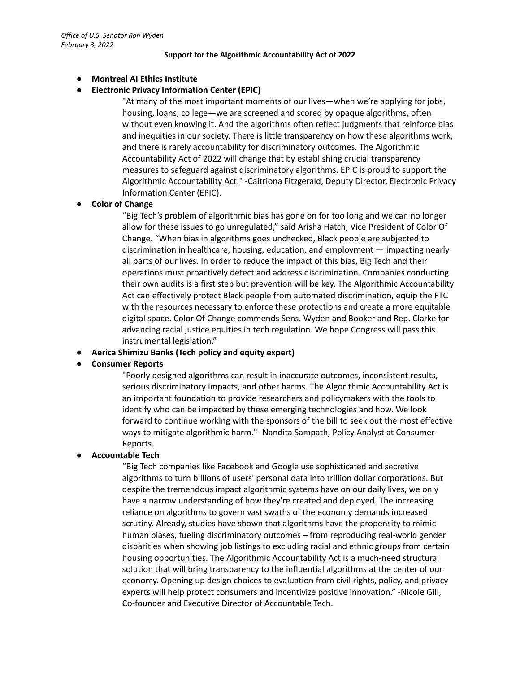#### **Support for the Algorithmic Accountability Act of 2022**

### **● Montreal AI Ethics Institute**

## **● Electronic Privacy Information Center (EPIC)**

"At many of the most important moments of our lives—when we're applying for jobs, housing, loans, college—we are screened and scored by opaque algorithms, often without even knowing it. And the algorithms often reflect judgments that reinforce bias and inequities in our society. There is little transparency on how these algorithms work, and there is rarely accountability for discriminatory outcomes. The Algorithmic Accountability Act of 2022 will change that by establishing crucial transparency measures to safeguard against discriminatory algorithms. EPIC is proud to support the Algorithmic Accountability Act." -Caitriona Fitzgerald, Deputy Director, Electronic Privacy Information Center (EPIC).

## **● Color of Change**

"Big Tech's problem of algorithmic bias has gone on for too long and we can no longer allow for these issues to go unregulated," said Arisha Hatch, Vice President of Color Of Change. "When bias in algorithms goes unchecked, Black people are subjected to discrimination in healthcare, housing, education, and employment — impacting nearly all parts of our lives. In order to reduce the impact of this bias, Big Tech and their operations must proactively detect and address discrimination. Companies conducting their own audits is a first step but prevention will be key. The Algorithmic Accountability Act can effectively protect Black people from automated discrimination, equip the FTC with the resources necessary to enforce these protections and create a more equitable digital space. Color Of Change commends Sens. Wyden and Booker and Rep. Clarke for advancing racial justice equities in tech regulation. We hope Congress will pass this instrumental legislation."

**● Aerica Shimizu Banks (Tech policy and equity expert)**

## **● Consumer Reports**

"Poorly designed algorithms can result in inaccurate outcomes, inconsistent results, serious discriminatory impacts, and other harms. The Algorithmic Accountability Act is an important foundation to provide researchers and policymakers with the tools to identify who can be impacted by these emerging technologies and how. We look forward to continue working with the sponsors of the bill to seek out the most effective ways to mitigate algorithmic harm." -Nandita Sampath, Policy Analyst at Consumer Reports.

## **● Accountable Tech**

"Big Tech companies like Facebook and Google use sophisticated and secretive algorithms to turn billions of users' personal data into trillion dollar corporations. But despite the tremendous impact algorithmic systems have on our daily lives, we only have a narrow understanding of how they're created and deployed. The increasing reliance on algorithms to govern vast swaths of the economy demands increased scrutiny. Already, studies have shown that algorithms have the propensity to mimic human biases, fueling discriminatory outcomes – from reproducing real-world gender disparities when showing job listings to excluding racial and ethnic groups from certain housing opportunities. The Algorithmic Accountability Act is a much-need structural solution that will bring transparency to the influential algorithms at the center of our economy. Opening up design choices to evaluation from civil rights, policy, and privacy experts will help protect consumers and incentivize positive innovation." -Nicole Gill, Co-founder and Executive Director of Accountable Tech.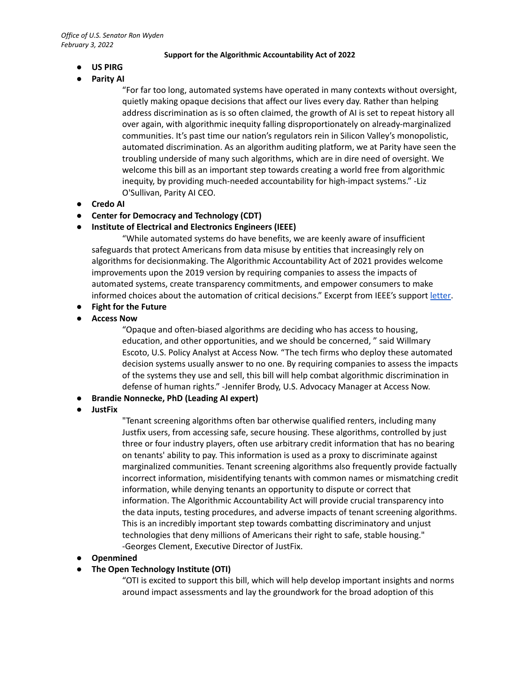#### **Support for the Algorithmic Accountability Act of 2022**

- **● US PIRG**
- **● Parity AI**

"For far too long, automated systems have operated in many contexts without oversight, quietly making opaque decisions that affect our lives every day. Rather than helping address discrimination as is so often claimed, the growth of AI is set to repeat history all over again, with algorithmic inequity falling disproportionately on already-marginalized communities. It's past time our nation's regulators rein in Silicon Valley's monopolistic, automated discrimination. As an algorithm auditing platform, we at Parity have seen the troubling underside of many such algorithms, which are in dire need of oversight. We welcome this bill as an important step towards creating a world free from algorithmic inequity, by providing much-needed accountability for high-impact systems." -Liz O'Sullivan, Parity AI CEO.

## **● Credo AI**

**● Center for Democracy and Technology (CDT)**

# **● Institute of Electrical and Electronics Engineers (IEEE)**

"While automated systems do have benefits, we are keenly aware of insufficient safeguards that protect Americans from data misuse by entities that increasingly rely on algorithms for decisionmaking. The Algorithmic Accountability Act of 2021 provides welcome improvements upon the 2019 version by requiring companies to assess the impacts of automated systems, create transparency commitments, and empower consumers to make informed choices about the automation of critical decisions." Excerpt from IEEE's support [letter](https://www.wyden.senate.gov/download/ieee-ai-algorithmic-accountability-letter-wyden-final-2021-pdf).

- **● Fight for the Future**
- **● Access Now**

"Opaque and often-biased algorithms are deciding who has access to housing, education, and other opportunities, and we should be concerned, " said Willmary Escoto, U.S. Policy Analyst at Access Now. "The tech firms who deploy these automated decision systems usually answer to no one. By requiring companies to assess the impacts of the systems they use and sell, this bill will help combat algorithmic discrimination in defense of human rights." -Jennifer Brody, U.S. Advocacy Manager at Access Now.

- **● Brandie Nonnecke, PhD (Leading AI expert)**
- **● JustFix**

"Tenant screening algorithms often bar otherwise qualified renters, including many Justfix users, from accessing safe, secure housing. These algorithms, controlled by just three or four industry players, often use arbitrary credit information that has no bearing on tenants' ability to pay. This information is used as a proxy to discriminate against marginalized communities. Tenant screening algorithms also frequently provide factually incorrect information, misidentifying tenants with common names or mismatching credit information, while denying tenants an opportunity to dispute or correct that information. The Algorithmic Accountability Act will provide crucial transparency into the data inputs, testing procedures, and adverse impacts of tenant screening algorithms. This is an incredibly important step towards combatting discriminatory and unjust technologies that deny millions of Americans their right to safe, stable housing." -Georges Clement, Executive Director of JustFix.

## **● Openmined**

# **● The Open Technology Institute (OTI)**

"OTI is excited to support this bill, which will help develop important insights and norms around impact assessments and lay the groundwork for the broad adoption of this